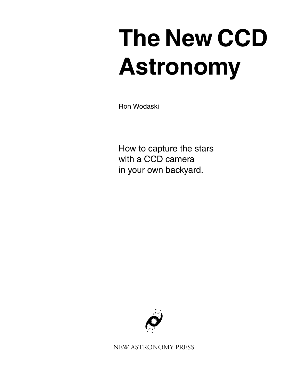# **The New CCD Astronomy**

Ron Wodaski

How to capture the stars with a CCD camera in your own backyard.



New Astronomy Press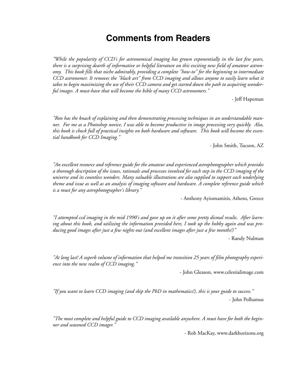#### **Comments from Readers**

*"While the popularity of CCD's for astronomical imaging has grown exponentially in the last few years, there is a surprising dearth of informative or helpful literature on this exciting new field of amateur astronomy. This book fills that niche admirably, providing a complete "how-to" for the beginning to intermediate CCD astronomer. It removes the "black art" from CCD imaging and allows anyone to easily learn what it takes to begin maximizing the use of their CCD camera and get started down the path to acquiring wonderful images. A must-have that will become the bible of many CCD astronomers."*

- Jeff Hapeman

*"Ron has the knack of explaining and then demonstrating processing techniques in an understandable manner. For me as a Photoshop novice, I was able to become productive in image processing very quickly. Also, this book is chock full of practical insights on both hardware and software. This book will become the essential handbook for CCD Imaging."*

- John Smith, Tucson, AZ

*"An excellent resource and reference guide for the amateur and experienced astrophotographer which provides a thorough description of the issues, rationale and processes involved for each step in the CCD imaging of the universe and its countless wonders. Many valuable illustrations are also supplied to support each underlying theme and issue as well as an analysis of imaging software and hardware. A complete reference guide which is a must for any astrophotographer's library."*

- Anthony Ayiomamitis, Athens, Greece

*"I attempted ccd imaging in the mid 1990's and gave up on it after some pretty dismal results. After learning about this book, and utilizing the information provided here, I took up the hobby again and was producing good images after just a few nights out (and excellent images after just a few months!)"*

- Randy Nulman

*"At long last! A superb volume of information that helped me transition 25 years of film photography experience into the new realm of CCD imaging."*

- John Gleason, www.celestialimage.com

*"If you want to learn CCD imaging (and skip the PhD in mathematics!), this is your guide to success."* - John Polhamus

*"The most complete and helpful guide to CCD imaging available anywhere. A must have for both the beginner and seasoned CCD imager."* 

- Rob MacKay, www.darkhorizons.org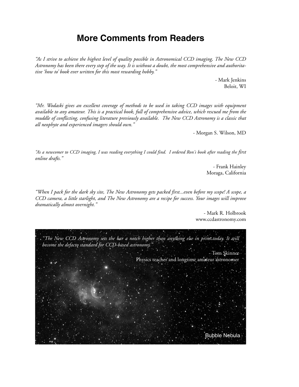## **More Comments from Readers**

*"As I strive to achieve the highest level of quality possible in Astronomical CCD imaging, The New CCD Astronomy has been there every step of the way. It is without a doubt, the most comprehensive and authoritative 'how to' book ever written for this most rewarding hobby."*

> - Mark Jenkins Beloit, WI

*"Mr. Wodaski gives an excellent coverage of methods to be used in taking CCD images with equipment available to any amateur. This is a practical book, full of comprehensive advice, which rescued me from the muddle of conflicting, confusing literature previously available. The New CCD Astronomy is a classic that all neophyte and experienced imagers should own."*

- Morgan S. Wilson, MD

*"As a newcomer to CCD imaging, I was reading everything I could find. I ordered Ron's book after reading the first online drafts."*

> - Frank Hainley Moraga, California

*"When I pack for the dark sky site, The New Astronomy gets packed first...even before my scope! A scope, a CCD camera, a little starlight, and The New Astronomy are a recipe for success. Your images will improve dramatically almost overnight."*

> - Mark R. Holbrook www.ccdastronomy.com

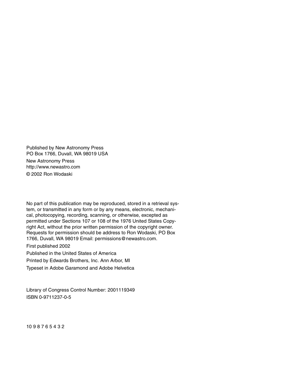Published by New Astronomy Press PO Box 1766, Duvall, WA 98019 USA New Astronomy Press http://www.newastro.com © 2002 Ron Wodaski

No part of this publication may be reproduced, stored in a retrieval system, or transmitted in any form or by any means, electronic, mechanical, photocopying, recording, scanning, or otherwise, excepted as permitted under Sections 107 or 108 of the 1976 United States Copyright Act, without the prior written permission of the copyright owner. Requests for permission should be address to Ron Wodaski, PO Box 1766, Duvall, WA 98019 Email: permissions@newastro.com.

First published 2002

Published in the United States of America

Printed by Edwards Brothers, Inc. Ann Arbor, MI

Typeset in Adobe Garamond and Adobe Helvetica

Library of Congress Control Number: 2001119349 ISBN 0-9711237-0-5

10 9 8 7 6 5 4 3 2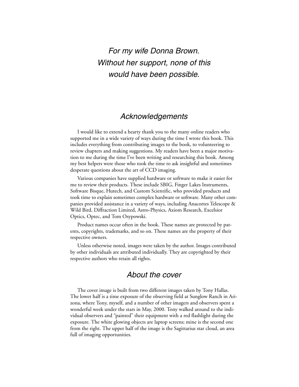# *For my wife Donna Brown. Without her support, none of this would have been possible.*

#### *Acknowledgements*

I would like to extend a hearty thank you to the many online readers who supported me in a wide variety of ways during the time I wrote this book. This includes everything from contributing images to the book, to volunteering to review chapters and making suggestions. My readers have been a major motivation to me during the time I've been writing and researching this book. Among my best helpers were those who took the time to ask insightful and sometimes desperate questions about the art of CCD imaging.

Various companies have supplied hardware or software to make it easier for me to review their products. These include SBIG, Finger Lakes Instruments, Software Bisque, Hutech, and Custom Scientific, who provided products and took time to explain sometimes complex hardware or software. Many other companies provided assistance in a variety of ways, including Anacortes Telescope & Wild Bird, Diffraction Limited, Astro-Physics, Axiom Research, Excelsior Optics, Optec, and Tom Osypowski.

Product names occur often in the book. These names are protected by patents, copyrights, trademarks, and so on. These names are the property of their respective owners.

Unless otherwise noted, images were taken by the author. Images contributed by other individuals are attributed individually. They are copyrighted by their respective authors who retain all rights.

#### *About the cover*

The cover image is built from two different images taken by Tony Hallas. The lower half is a time exposure of the observing field at Sunglow Ranch in Arizona, where Tony, myself, and a number of other imagers and observers spent a wonderful week under the stars in May, 2000. Tony walked around to the individual observers and "painted" their equipment with a red flashlight during the exposure. The white glowing objects are laptop screens; mine is the second one from the right. The upper half of the image is the Sagittarius star cloud, an area full of imaging opportunities.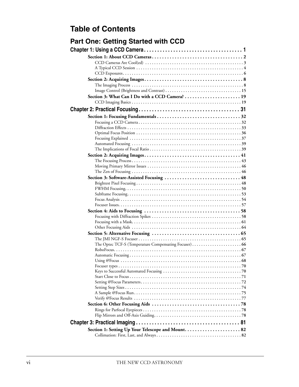## **Table of Contents**

# **Part One: Getting Started with CCD**

| Section 3: What Can I Do with a CCD Camera?  19 |
|-------------------------------------------------|
|                                                 |
|                                                 |
|                                                 |
|                                                 |
|                                                 |
|                                                 |
|                                                 |
|                                                 |
|                                                 |
|                                                 |
|                                                 |
|                                                 |
|                                                 |
|                                                 |
|                                                 |
|                                                 |
|                                                 |
|                                                 |
|                                                 |
|                                                 |
|                                                 |
|                                                 |
|                                                 |
|                                                 |
|                                                 |
|                                                 |
|                                                 |
|                                                 |
|                                                 |
|                                                 |
|                                                 |
|                                                 |
|                                                 |
|                                                 |
|                                                 |
|                                                 |
|                                                 |
|                                                 |
|                                                 |
|                                                 |
|                                                 |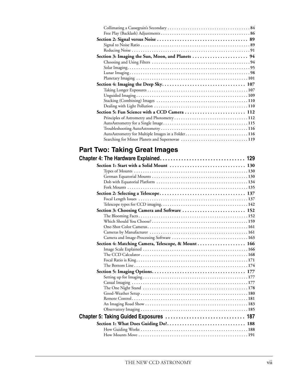| AutoAstrometry for Multiple Images in a Folder116 |  |
|---------------------------------------------------|--|
|                                                   |  |

# **Part Two: Taking Great Images Chapter 4: The Hardware Explained.......**

| Section 3: Choosing Camera and Software  152       |  |
|----------------------------------------------------|--|
|                                                    |  |
|                                                    |  |
|                                                    |  |
|                                                    |  |
|                                                    |  |
| Section 4: Matching Camera, Telescope, & Mount 166 |  |
|                                                    |  |
|                                                    |  |
|                                                    |  |
|                                                    |  |
|                                                    |  |
|                                                    |  |
|                                                    |  |
|                                                    |  |
|                                                    |  |
|                                                    |  |
|                                                    |  |
|                                                    |  |
| Chapter 5: Taking Guided Exposures  187            |  |
|                                                    |  |
|                                                    |  |
|                                                    |  |
|                                                    |  |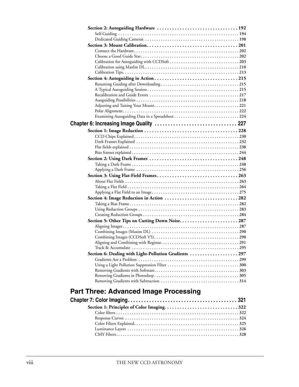| Chapter 6: Increasing Image Quality  227               |  |
|--------------------------------------------------------|--|
|                                                        |  |
|                                                        |  |
|                                                        |  |
|                                                        |  |
|                                                        |  |
|                                                        |  |
|                                                        |  |
|                                                        |  |
|                                                        |  |
|                                                        |  |
|                                                        |  |
|                                                        |  |
|                                                        |  |
|                                                        |  |
|                                                        |  |
|                                                        |  |
|                                                        |  |
|                                                        |  |
|                                                        |  |
|                                                        |  |
|                                                        |  |
|                                                        |  |
| Section 6: Dealing with Light-Pollution Gradients  297 |  |
|                                                        |  |
|                                                        |  |
|                                                        |  |
|                                                        |  |
|                                                        |  |
|                                                        |  |
| <b>Part Three: Advanced Image Processing</b>           |  |
|                                                        |  |
| Section 1: Principles of Color Imaging322              |  |
|                                                        |  |

| Section 1: Principles of Color Imaging322 |  |
|-------------------------------------------|--|
|                                           |  |
|                                           |  |
|                                           |  |
|                                           |  |
|                                           |  |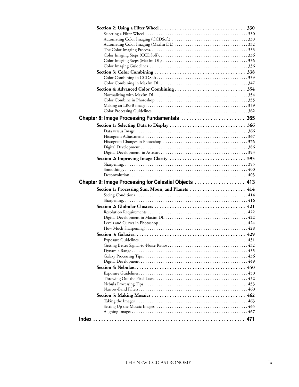| Chapter 8: Image Processing Fundamentals  365          |  |
|--------------------------------------------------------|--|
|                                                        |  |
|                                                        |  |
|                                                        |  |
|                                                        |  |
|                                                        |  |
|                                                        |  |
|                                                        |  |
|                                                        |  |
|                                                        |  |
|                                                        |  |
| Chapter 9: Image Processing for Celestial Objects  413 |  |
| Section 1: Processing Sun, Moon, and Planets  414      |  |
|                                                        |  |
|                                                        |  |
|                                                        |  |
|                                                        |  |
|                                                        |  |
|                                                        |  |
|                                                        |  |
|                                                        |  |
|                                                        |  |
|                                                        |  |
|                                                        |  |
|                                                        |  |
|                                                        |  |
|                                                        |  |
|                                                        |  |
|                                                        |  |
|                                                        |  |
|                                                        |  |
|                                                        |  |
|                                                        |  |
|                                                        |  |
|                                                        |  |
|                                                        |  |